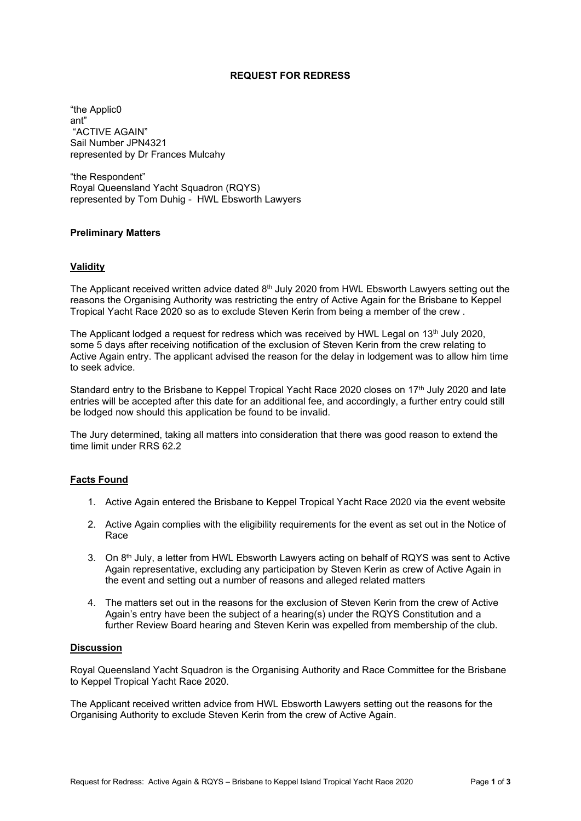## **REQUEST FOR REDRESS**

"the Applic0 ant" "ACTIVE AGAIN" Sail Number JPN4321 represented by Dr Frances Mulcahy

"the Respondent" Royal Queensland Yacht Squadron (RQYS) represented by Tom Duhig - HWL Ebsworth Lawyers

## **Preliminary Matters**

## **Validity**

The Applicant received written advice dated  $8<sup>th</sup>$  July 2020 from HWL Ebsworth Lawyers setting out the reasons the Organising Authority was restricting the entry of Active Again for the Brisbane to Keppel Tropical Yacht Race 2020 so as to exclude Steven Kerin from being a member of the crew .

The Applicant lodged a request for redress which was received by HWL Legal on  $13<sup>th</sup>$  July 2020, some 5 days after receiving notification of the exclusion of Steven Kerin from the crew relating to Active Again entry. The applicant advised the reason for the delay in lodgement was to allow him time to seek advice.

Standard entry to the Brisbane to Keppel Tropical Yacht Race 2020 closes on 17<sup>th</sup> July 2020 and late entries will be accepted after this date for an additional fee, and accordingly, a further entry could still be lodged now should this application be found to be invalid.

The Jury determined, taking all matters into consideration that there was good reason to extend the time limit under RRS 62.2

# **Facts Found**

- 1. Active Again entered the Brisbane to Keppel Tropical Yacht Race 2020 via the event website
- 2. Active Again complies with the eligibility requirements for the event as set out in the Notice of Race
- 3. On 8<sup>th</sup> July, a letter from HWL Ebsworth Lawyers acting on behalf of RQYS was sent to Active Again representative, excluding any participation by Steven Kerin as crew of Active Again in the event and setting out a number of reasons and alleged related matters
- 4. The matters set out in the reasons for the exclusion of Steven Kerin from the crew of Active Again's entry have been the subject of a hearing(s) under the RQYS Constitution and a further Review Board hearing and Steven Kerin was expelled from membership of the club.

## **Discussion**

Royal Queensland Yacht Squadron is the Organising Authority and Race Committee for the Brisbane to Keppel Tropical Yacht Race 2020.

The Applicant received written advice from HWL Ebsworth Lawyers setting out the reasons for the Organising Authority to exclude Steven Kerin from the crew of Active Again.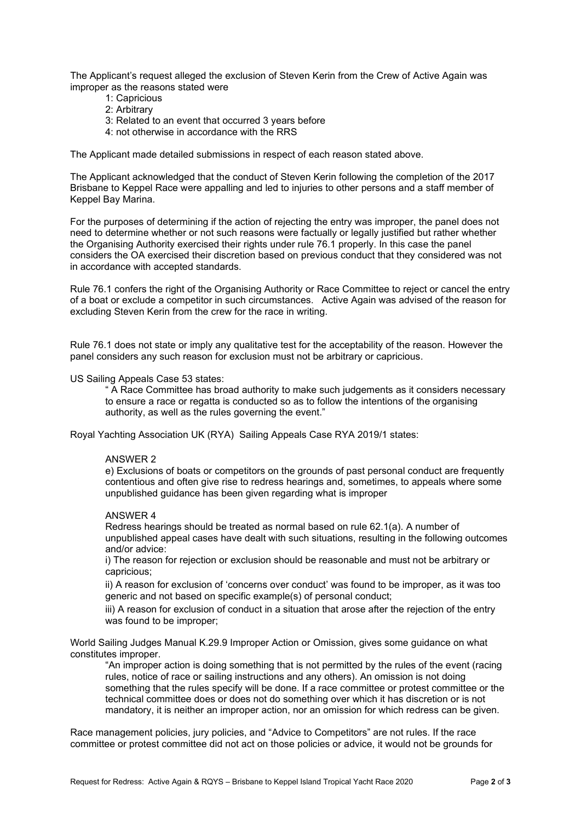The Applicant's request alleged the exclusion of Steven Kerin from the Crew of Active Again was improper as the reasons stated were

- 1: Capricious
- 2: Arbitrary
- 3: Related to an event that occurred 3 years before
- 4: not otherwise in accordance with the RRS

The Applicant made detailed submissions in respect of each reason stated above.

The Applicant acknowledged that the conduct of Steven Kerin following the completion of the 2017 Brisbane to Keppel Race were appalling and led to injuries to other persons and a staff member of Keppel Bay Marina.

For the purposes of determining if the action of rejecting the entry was improper, the panel does not need to determine whether or not such reasons were factually or legally justified but rather whether the Organising Authority exercised their rights under rule 76.1 properly. In this case the panel considers the OA exercised their discretion based on previous conduct that they considered was not in accordance with accepted standards.

Rule 76.1 confers the right of the Organising Authority or Race Committee to reject or cancel the entry of a boat or exclude a competitor in such circumstances. Active Again was advised of the reason for excluding Steven Kerin from the crew for the race in writing.

Rule 76.1 does not state or imply any qualitative test for the acceptability of the reason. However the panel considers any such reason for exclusion must not be arbitrary or capricious.

#### US Sailing Appeals Case 53 states:

" A Race Committee has broad authority to make such judgements as it considers necessary to ensure a race or regatta is conducted so as to follow the intentions of the organising authority, as well as the rules governing the event."

Royal Yachting Association UK (RYA) Sailing Appeals Case RYA 2019/1 states:

#### ANSWER 2

e) Exclusions of boats or competitors on the grounds of past personal conduct are frequently contentious and often give rise to redress hearings and, sometimes, to appeals where some unpublished guidance has been given regarding what is improper

#### ANSWER 4

Redress hearings should be treated as normal based on rule 62.1(a). A number of unpublished appeal cases have dealt with such situations, resulting in the following outcomes and/or advice:

i) The reason for rejection or exclusion should be reasonable and must not be arbitrary or capricious;

ii) A reason for exclusion of 'concerns over conduct' was found to be improper, as it was too generic and not based on specific example(s) of personal conduct;

iii) A reason for exclusion of conduct in a situation that arose after the rejection of the entry was found to be improper;

World Sailing Judges Manual K.29.9 Improper Action or Omission, gives some guidance on what constitutes improper.

"An improper action is doing something that is not permitted by the rules of the event (racing rules, notice of race or sailing instructions and any others). An omission is not doing something that the rules specify will be done. If a race committee or protest committee or the technical committee does or does not do something over which it has discretion or is not mandatory, it is neither an improper action, nor an omission for which redress can be given.

Race management policies, jury policies, and "Advice to Competitors" are not rules. If the race committee or protest committee did not act on those policies or advice, it would not be grounds for